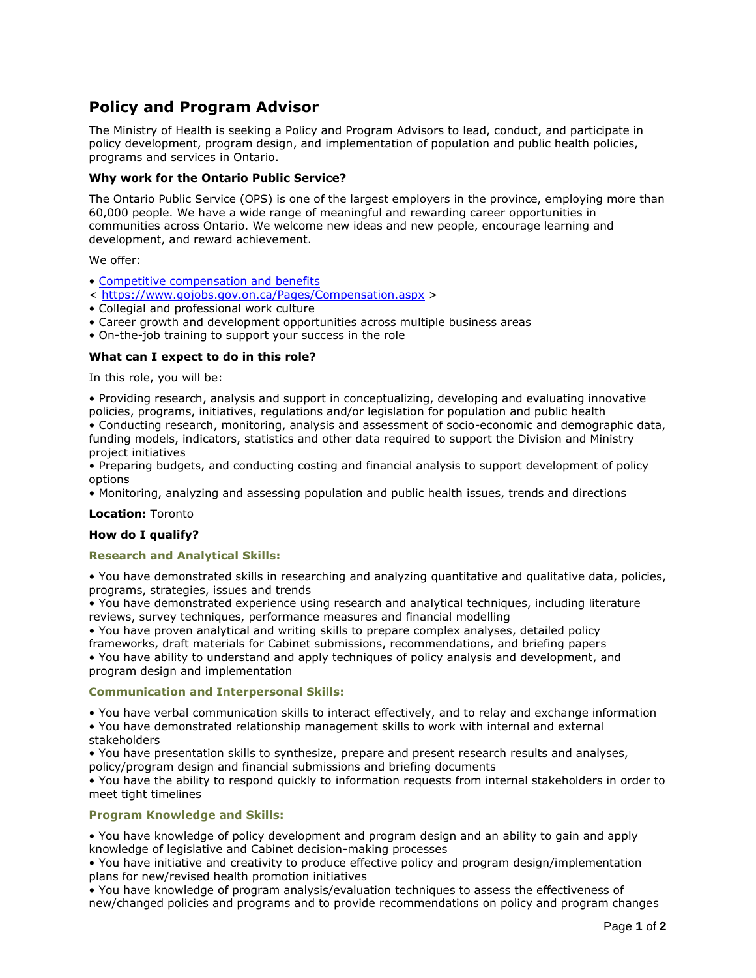# **Policy and Program Advisor**

The Ministry of Health is seeking a Policy and Program Advisors to lead, conduct, and participate in policy development, program design, and implementation of population and public health policies, programs and services in Ontario.

# **Why work for the Ontario Public Service?**

The Ontario Public Service (OPS) is one of the largest employers in the province, employing more than 60,000 people. We have a wide range of meaningful and rewarding career opportunities in communities across Ontario. We welcome new ideas and new people, encourage learning and development, and reward achievement.

We offer:

- [Competitive compensation and benefits](https://www.gojobs.gov.on.ca/Pages/Compensation.aspx)
- < <https://www.gojobs.gov.on.ca/Pages/Compensation.aspx> >
- Collegial and professional work culture
- Career growth and development opportunities across multiple business areas
- On-the-job training to support your success in the role

# **What can I expect to do in this role?**

In this role, you will be:

• Providing research, analysis and support in conceptualizing, developing and evaluating innovative policies, programs, initiatives, regulations and/or legislation for population and public health • Conducting research, monitoring, analysis and assessment of socio-economic and demographic data, funding models, indicators, statistics and other data required to support the Division and Ministry project initiatives

• Preparing budgets, and conducting costing and financial analysis to support development of policy options

• Monitoring, analyzing and assessing population and public health issues, trends and directions

#### **Location:** Toronto

#### **How do I qualify?**

#### **Research and Analytical Skills:**

• You have demonstrated skills in researching and analyzing quantitative and qualitative data, policies, programs, strategies, issues and trends

• You have demonstrated experience using research and analytical techniques, including literature reviews, survey techniques, performance measures and financial modelling

• You have proven analytical and writing skills to prepare complex analyses, detailed policy

frameworks, draft materials for Cabinet submissions, recommendations, and briefing papers

• You have ability to understand and apply techniques of policy analysis and development, and program design and implementation

# **Communication and Interpersonal Skills:**

• You have verbal communication skills to interact effectively, and to relay and exchange information

• You have demonstrated relationship management skills to work with internal and external stakeholders

• You have presentation skills to synthesize, prepare and present research results and analyses, policy/program design and financial submissions and briefing documents

• You have the ability to respond quickly to information requests from internal stakeholders in order to meet tight timelines

### **Program Knowledge and Skills:**

• You have knowledge of policy development and program design and an ability to gain and apply knowledge of legislative and Cabinet decision-making processes

• You have initiative and creativity to produce effective policy and program design/implementation plans for new/revised health promotion initiatives

• You have knowledge of program analysis/evaluation techniques to assess the effectiveness of new/changed policies and programs and to provide recommendations on policy and program changes